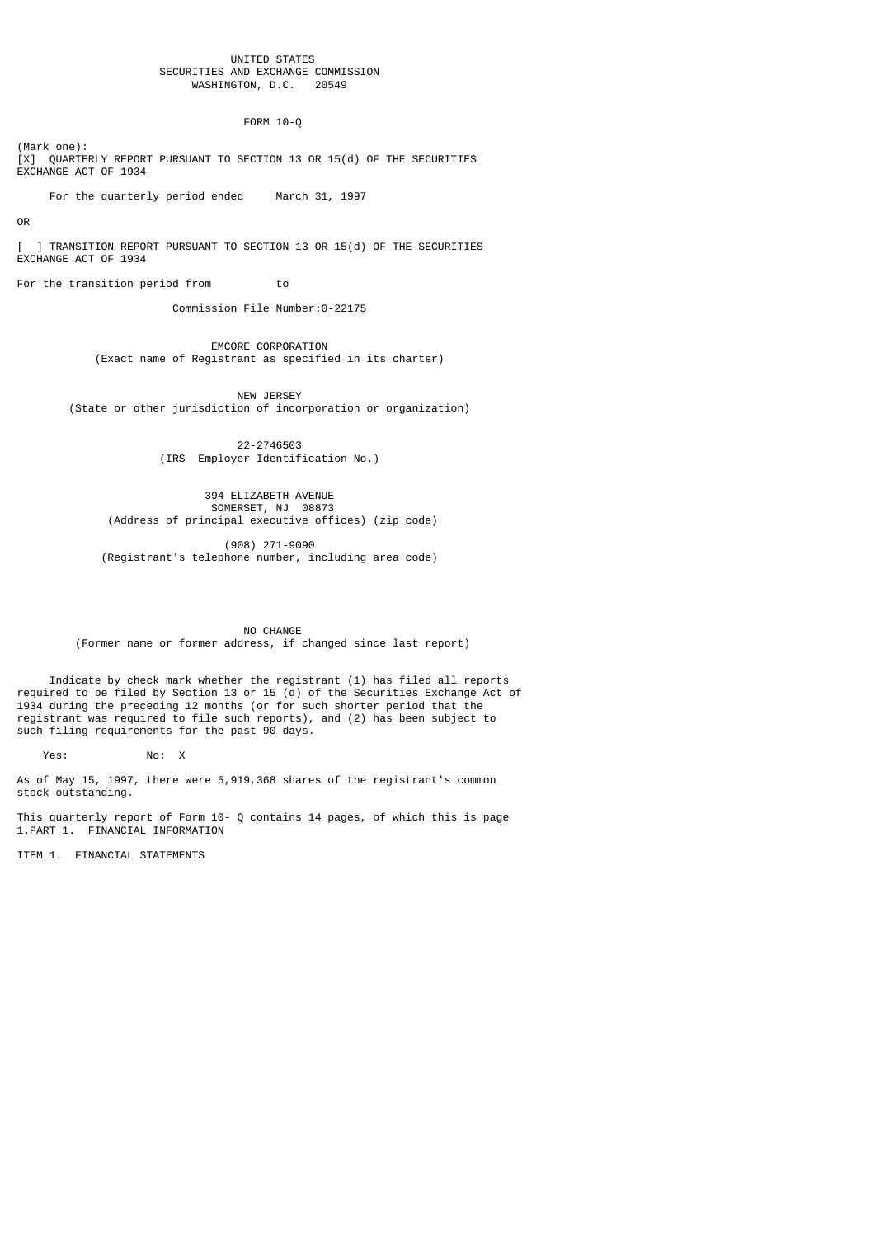#### UNITED STATES SECURITIES AND EXCHANGE COMMISSION<br>WASHINGTON, D.C. 20549 WASHINGTON, D.C.

# FORM 10-Q

(Mark one): [X] QUARTERLY REPORT PURSUANT TO SECTION 13 OR 15(d) OF THE SECURITIES EXCHANGE ACT OF 1934

For the quarterly period ended March 31, 1997

## OR

] TRANSITION REPORT PURSUANT TO SECTION 13 OR 15(d) OF THE SECURITIES EXCHANGE ACT OF 1934

For the transition period from to

Commission File Number:0-22175

 EMCORE CORPORATION (Exact name of Registrant as specified in its charter)

NEW JERSEY (State or other jurisdiction of incorporation or organization)

> 22-2746503 (IRS Employer Identification No.)

 394 ELIZABETH AVENUE SOMERSET, NJ 08873 (Address of principal executive offices) (zip code)

> (908) 271-9090 (Registrant's telephone number, including area code)

 NO CHANGE (Former name or former address, if changed since last report)

 Indicate by check mark whether the registrant (1) has filed all reports required to be filed by Section 13 or 15 (d) of the Securities Exchange Act of 1934 during the preceding 12 months (or for such shorter period that the registrant was required to file such reports), and (2) has been subject to such filing requirements for the past 90 days.

Yes: No: X

As of May 15, 1997, there were 5,919,368 shares of the registrant's common stock outstanding.

This quarterly report of Form 10- Q contains 14 pages, of which this is page 1.PART 1. FINANCIAL INFORMATION

ITEM 1. FINANCIAL STATEMENTS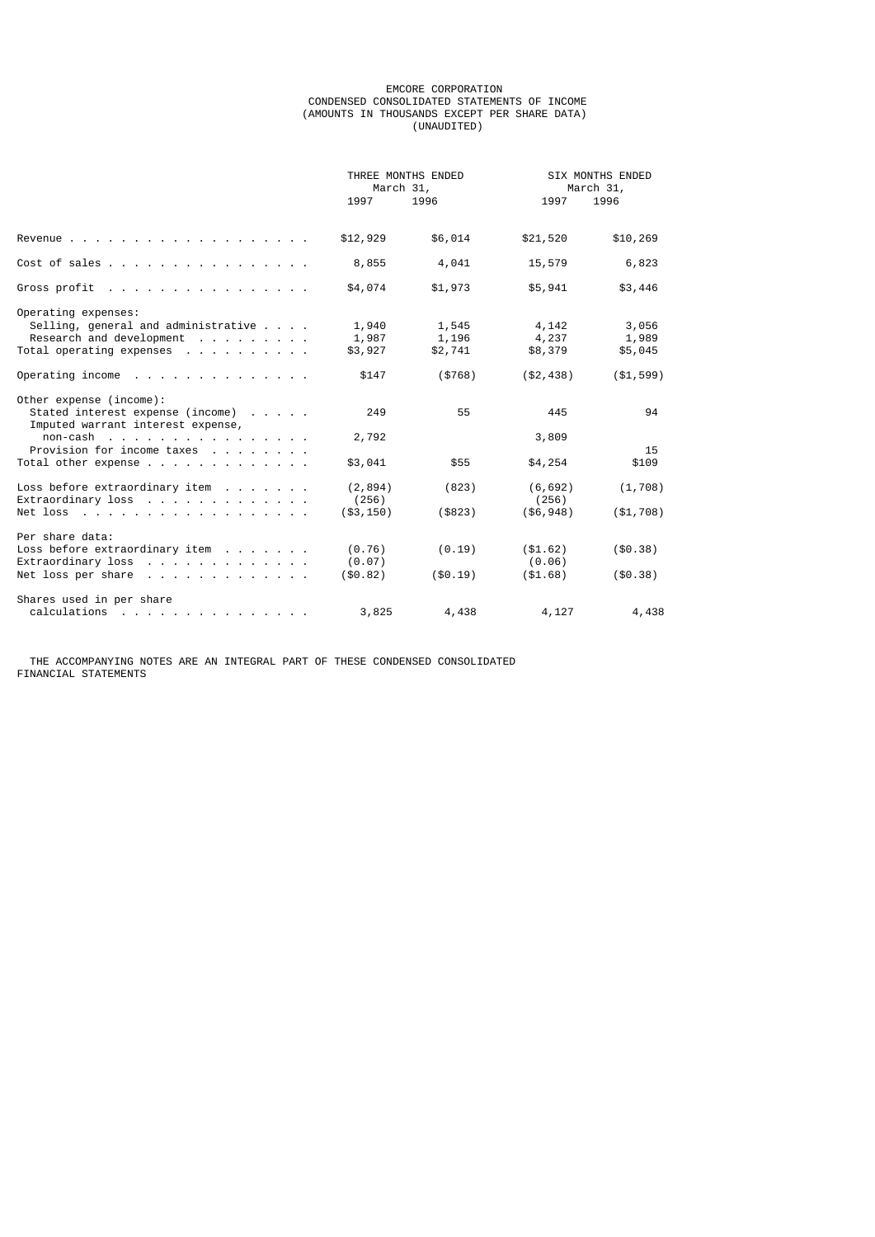#### EMCORE CORPORATION CONDENSED CONSOLIDATED STATEMENTS OF INCOME (AMOUNTS IN THOUSANDS EXCEPT PER SHARE DATA) (UNAUDITED)

|                                                                       | THREE MONTHS ENDED<br>March 31, |           |              | <b>SIX MONTHS ENDED</b><br>March 31, |  |
|-----------------------------------------------------------------------|---------------------------------|-----------|--------------|--------------------------------------|--|
|                                                                       | 1997                            | 1996      | 1997         | 1996                                 |  |
|                                                                       | \$12,929                        | \$6,014   | \$21,520     | \$10,269                             |  |
| Cost of sales                                                         | 8,855                           | 4,041     | 15,579       | 6,823                                |  |
| Gross profit                                                          | \$4,074                         | \$1,973   | \$5,941      | \$3,446                              |  |
| Operating expenses:                                                   |                                 |           |              |                                      |  |
| Selling, general and administrative                                   | 1,940                           | 1,545     | 4,142        | 3,056                                |  |
| Research and development                                              | 1,987                           | 1,196     | 4,237        | 1,989                                |  |
| Total operating expenses                                              | \$3,927                         | \$2,741   | \$8,379      | \$5,045                              |  |
| Operating income $\cdots$                                             | \$147                           | (\$768)   | (\$2,438)    | ( \$1, 599)                          |  |
| Other expense (income):                                               |                                 |           |              |                                      |  |
| Stated interest expense (income)<br>Imputed warrant interest expense, | 249                             | 55        | 445          | 94                                   |  |
| $non-cash$ .                                                          | 2,792                           |           | 3,809        |                                      |  |
| Provision for income taxes                                            |                                 |           |              | 15                                   |  |
| Total other expense                                                   | \$3,041                         | \$55      | \$4,254      | \$109                                |  |
| Loss before extraordinary item                                        | (2, 894)                        | (823)     | (6, 692)     | (1, 708)                             |  |
| Extraordinary loss $\cdots$                                           | (256)                           |           | (256)        |                                      |  |
| Net loss                                                              | $(*3, 150)$                     | (\$823)   | $($ \$6,948) | ( \$1,708)                           |  |
| Per share data:                                                       |                                 |           |              |                                      |  |
| Loss before extraordinary item $\cdots$ ,                             | (0.76)                          | (0.19)    | ( \$1.62)    | ( \$0.38)                            |  |
| $Extraordinary loss$                                                  | (0.07)                          |           | (0.06)       |                                      |  |
| Net loss per share                                                    | $($ \$0.82)                     | ( \$0.19) | ( \$1.68)    | ( \$0.38)                            |  |
| Shares used in per share                                              |                                 |           |              |                                      |  |
| calculations                                                          | 3,825                           | 4,438     | 4,127        | 4,438                                |  |

 THE ACCOMPANYING NOTES ARE AN INTEGRAL PART OF THESE CONDENSED CONSOLIDATED FINANCIAL STATEMENTS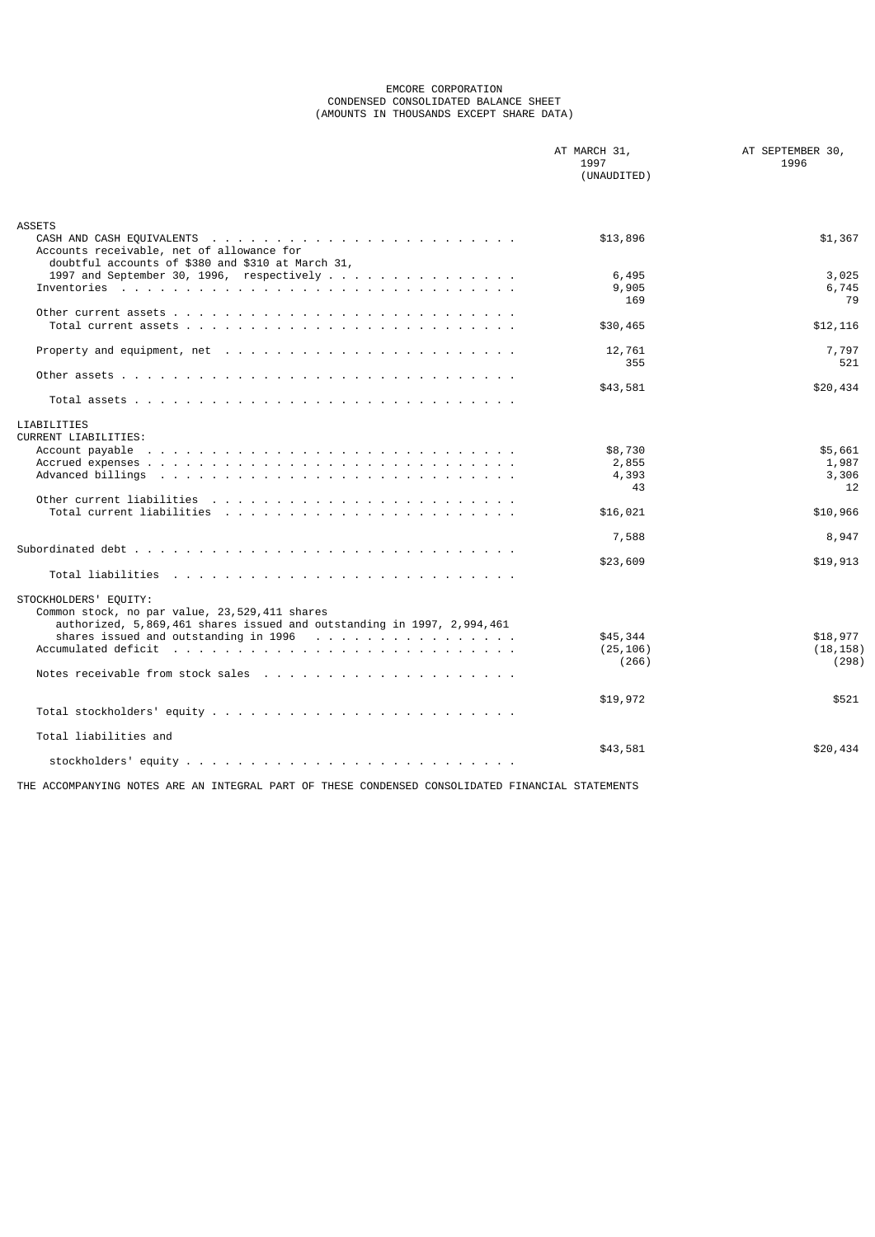#### EMCORE CORPORATION CONDENSED CONSOLIDATED BALANCE SHEET (AMOUNTS IN THOUSANDS EXCEPT SHARE DATA)

|                                                                                                                                                                                                                                                   | AT MARCH 31,<br>1997<br>(UNAUDITED) | AT SEPTEMBER 30,<br>1996        |
|---------------------------------------------------------------------------------------------------------------------------------------------------------------------------------------------------------------------------------------------------|-------------------------------------|---------------------------------|
| <b>ASSETS</b><br>Accounts receivable, net of allowance for<br>doubtful accounts of \$380 and \$310 at March 31,                                                                                                                                   | \$13,896                            | \$1,367                         |
|                                                                                                                                                                                                                                                   | 6,495<br>9,905<br>169               | 3,025<br>6,745<br>79            |
| Other current assets $\ldots$ $\ldots$ $\ldots$ $\ldots$ $\ldots$ $\ldots$ $\ldots$ $\ldots$ $\ldots$ $\ldots$ $\ldots$                                                                                                                           | \$30,465                            | \$12,116                        |
|                                                                                                                                                                                                                                                   | 12,761<br>355                       | 7,797<br>521                    |
|                                                                                                                                                                                                                                                   | \$43,581                            | \$20,434                        |
| LIABILITIES<br><b>CURRENT LIABILITIES:</b>                                                                                                                                                                                                        |                                     |                                 |
| Account payable<br>. The contract of the contract of the contract of the contract of the contract of the contract of the contract of the contract of the contract of the contract of the contract of the contract of the contract of the contract | \$8,730<br>2,855<br>4,393<br>43     | \$5,661<br>1,987<br>3,306<br>12 |
|                                                                                                                                                                                                                                                   | \$16,021                            | \$10,966                        |
|                                                                                                                                                                                                                                                   | 7,588                               | 8,947                           |
|                                                                                                                                                                                                                                                   | \$23,609                            | \$19,913                        |
| STOCKHOLDERS' EQUITY:<br>Common stock, no par value, 23,529,411 shares<br>authorized, 5,869,461 shares issued and outstanding in 1997, 2,994,461                                                                                                  |                                     |                                 |
|                                                                                                                                                                                                                                                   | \$45,344<br>(25, 106)<br>(266)      | \$18,977<br>(18, 158)<br>(298)  |
|                                                                                                                                                                                                                                                   | \$19,972                            | \$521                           |
|                                                                                                                                                                                                                                                   |                                     |                                 |
| Total liabilities and                                                                                                                                                                                                                             | \$43,581                            | \$20,434                        |
|                                                                                                                                                                                                                                                   |                                     |                                 |

THE ACCOMPANYING NOTES ARE AN INTEGRAL PART OF THESE CONDENSED CONSOLIDATED FINANCIAL STATEMENTS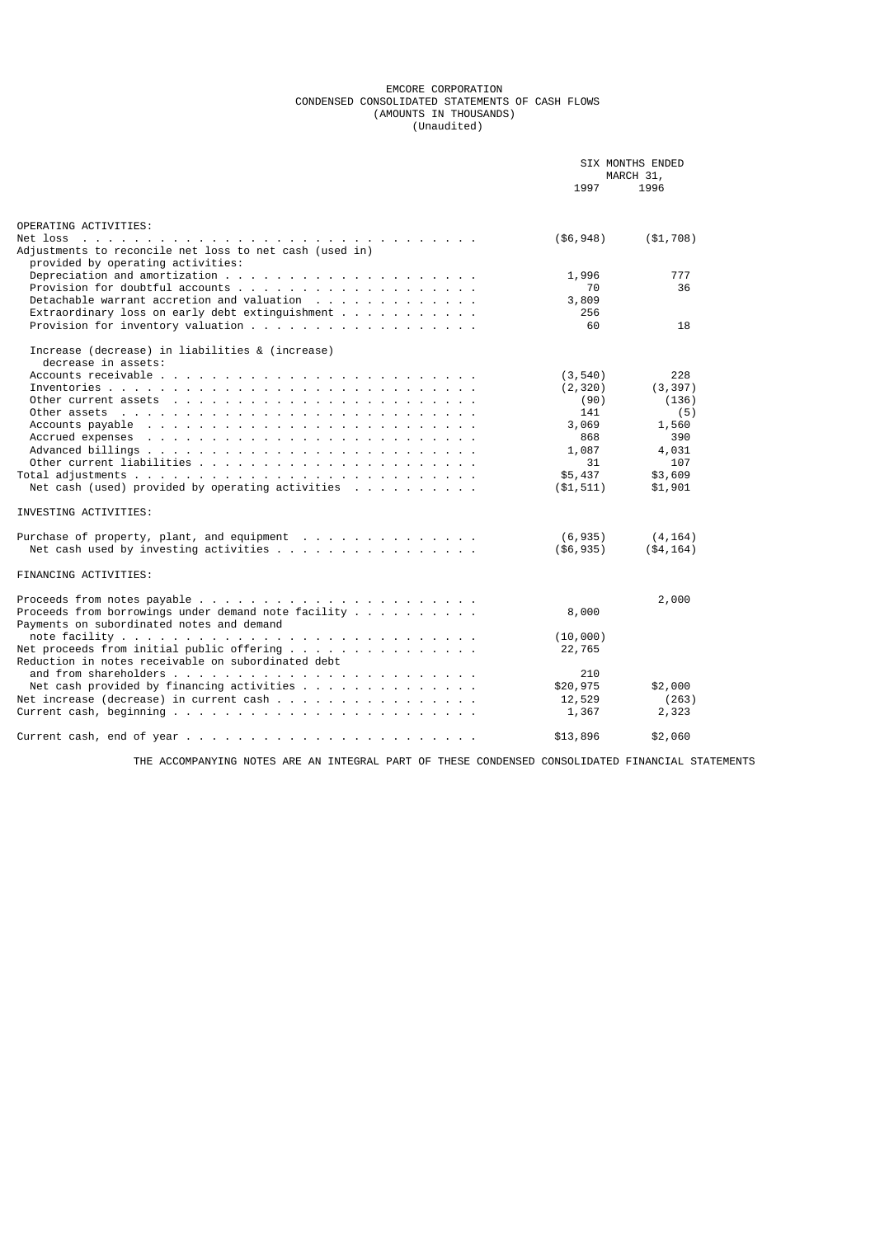#### EMCORE CORPORATION CONDENSED CONSOLIDATED STATEMENTS OF CASH FLOWS (AMOUNTS IN THOUSANDS) (Unaudited)

|                                                                                                                                     |              | <b>SIX MONTHS ENDED</b> |  |
|-------------------------------------------------------------------------------------------------------------------------------------|--------------|-------------------------|--|
|                                                                                                                                     | 1997         | MARCH 31,<br>1996       |  |
| OPERATING ACTIVITIES:                                                                                                               |              |                         |  |
| Net loss<br>Adjustments to reconcile net loss to net cash (used in)<br>provided by operating activities:                            | ( \$6, 948)  | ( \$1,708)              |  |
|                                                                                                                                     | 1,996        | 777                     |  |
|                                                                                                                                     | 70           | 36                      |  |
|                                                                                                                                     | 3,809        |                         |  |
| Extraordinary loss on early debt extinguishment $\ldots$ ,                                                                          | 256          |                         |  |
|                                                                                                                                     | 60           | 18                      |  |
| Increase (decrease) in liabilities & (increase)<br>decrease in assets:                                                              |              |                         |  |
|                                                                                                                                     | (3, 540)     | 228                     |  |
|                                                                                                                                     | (2, 320)     | (3, 397)                |  |
|                                                                                                                                     | (90)         | (136)                   |  |
| Other assets $\cdots$ , $\cdots$ , $\cdots$ , $\cdots$ , $\cdots$ , $\cdots$ , $\cdots$                                             | 141          | (5)                     |  |
| Accounts payable<br>the contract of the contract of the contract of the contract of the contract of the contract of the contract of | 3,069        | 1,560                   |  |
| Accrued expenses                                                                                                                    | 868          | 390                     |  |
|                                                                                                                                     | 1,087        | 4,031                   |  |
|                                                                                                                                     | 31           | 107                     |  |
|                                                                                                                                     | \$5,437      | \$3,609                 |  |
|                                                                                                                                     | ( \$1, 511 ) | \$1,901                 |  |
| INVESTING ACTIVITIES:                                                                                                               |              |                         |  |
|                                                                                                                                     | (6, 935)     | (4, 164)                |  |
|                                                                                                                                     | ( \$6, 935)  | ( \$4, 164)             |  |
| FINANCING ACTIVITIES:                                                                                                               |              |                         |  |
|                                                                                                                                     |              | 2,000                   |  |
| Proceeds from borrowings under demand note facility $\dots \dots$                                                                   | 8,000        |                         |  |
| Payments on subordinated notes and demand                                                                                           |              |                         |  |
|                                                                                                                                     | (10,000)     |                         |  |
| Reduction in notes receivable on subordinated debt                                                                                  | 22,765       |                         |  |
|                                                                                                                                     | 210          |                         |  |
|                                                                                                                                     | \$20,975     | \$2,000                 |  |
|                                                                                                                                     | 12,529       | (263)                   |  |
|                                                                                                                                     | 1,367        | 2,323                   |  |
|                                                                                                                                     | \$13,896     | \$2,060                 |  |

THE ACCOMPANYING NOTES ARE AN INTEGRAL PART OF THESE CONDENSED CONSOLIDATED FINANCIAL STATEMENTS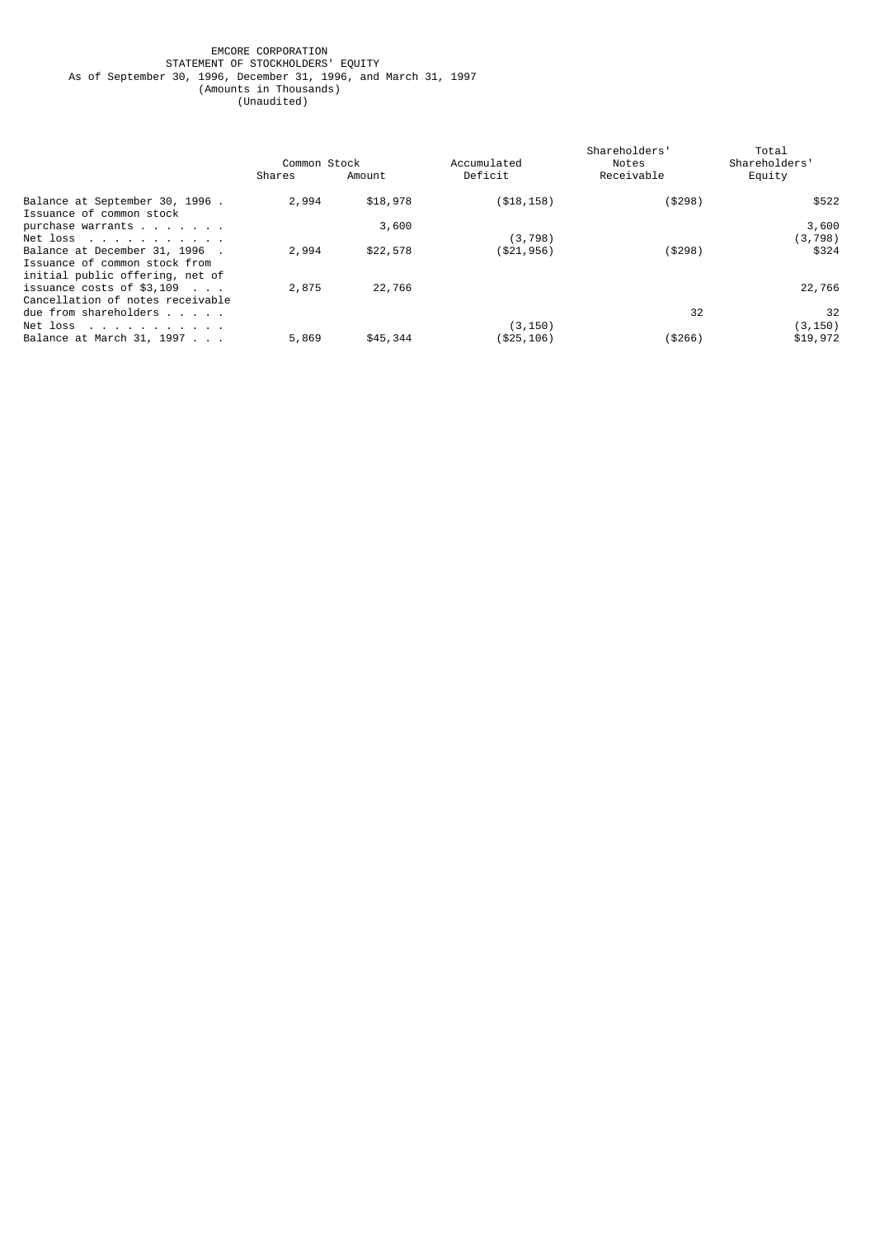#### EMCORE CORPORATION STATEMENT OF STOCKHOLDERS' EQUITY As of September 30, 1996, December 31, 1996, and March 31, 1997 (Amounts in Thousands) (Unaudited)

|                                                                                                  | Common Stock |          | Accumulated  | Shareholders'<br>Notes | Total<br>Shareholders' |
|--------------------------------------------------------------------------------------------------|--------------|----------|--------------|------------------------|------------------------|
|                                                                                                  | Shares       | Amount   | Deficit      | Receivable             | Equity                 |
| Balance at September 30, 1996.<br>Issuance of common stock                                       | 2,994        | \$18,978 | ( \$18, 158) | ( \$298)               | \$522                  |
| purchase warrants<br>Net loss $\ldots$ $\ldots$ $\ldots$ $\ldots$                                |              | 3,600    | (3, 798)     |                        | 3,600<br>(3, 798)      |
| Balance at December 31, 1996<br>Issuance of common stock from<br>initial public offering, net of | 2,994        | \$22,578 | (\$21,956)   | ( \$298)               | \$324                  |
| issuance costs of $$3,109$<br>Cancellation of notes receivable                                   | 2,875        | 22,766   |              |                        | 22,766                 |
| due from shareholders $\ldots$<br>Net loss $\ldots$ $\ldots$ $\ldots$ $\ldots$                   |              |          | (3, 150)     | 32                     | 32<br>(3, 150)         |
| Balance at March 31, 1997                                                                        | 5,869        | \$45,344 | (\$25,106)   | (\$266)                | \$19,972               |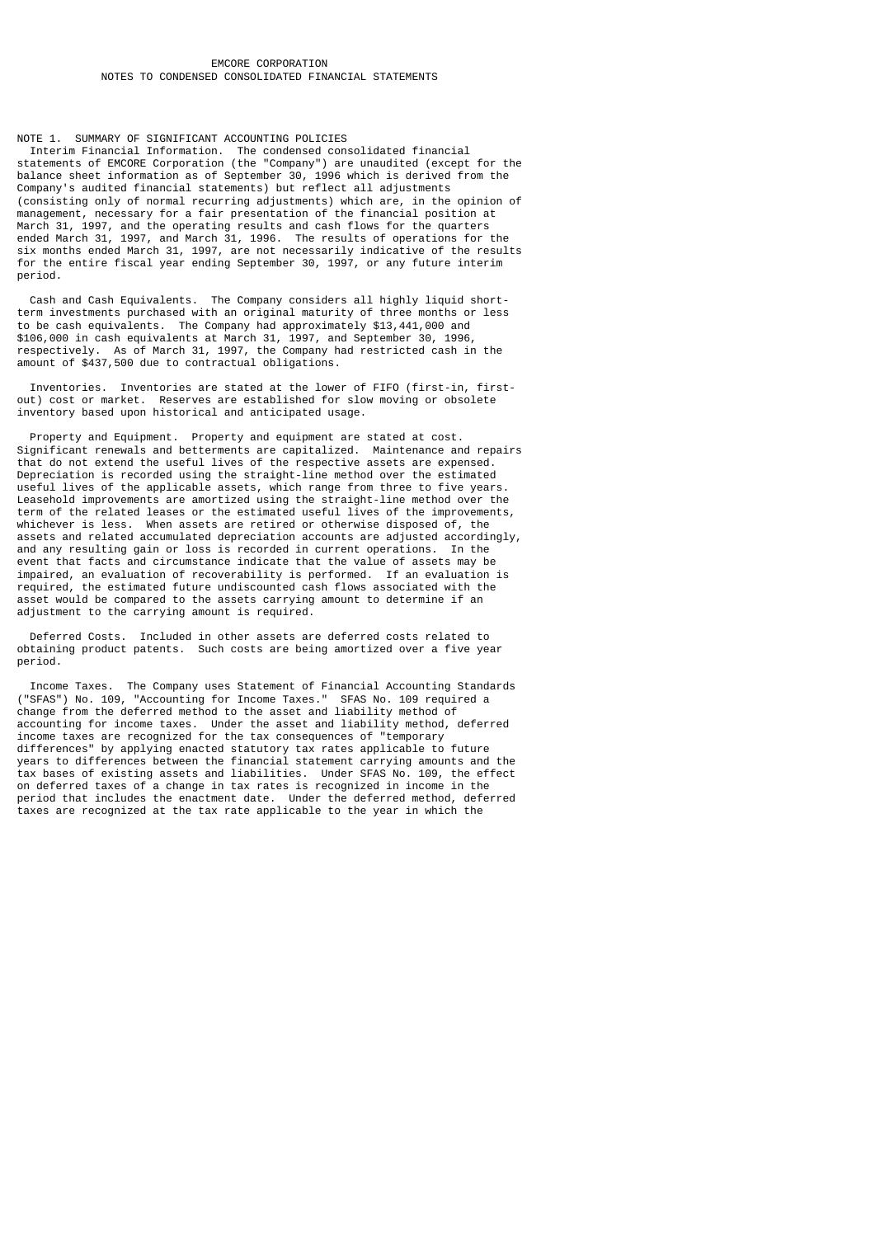## EMCORE CORPORATION NOTES TO CONDENSED CONSOLIDATED FINANCIAL STATEMENTS

# NOTE 1. SUMMARY OF SIGNIFICANT ACCOUNTING POLICIES

 Interim Financial Information. The condensed consolidated financial statements of EMCORE Corporation (the "Company") are unaudited (except for the balance sheet information as of September 30, 1996 which is derived from the Company's audited financial statements) but reflect all adjustments (consisting only of normal recurring adjustments) which are, in the opinion of management, necessary for a fair presentation of the financial position at March 31, 1997, and the operating results and cash flows for the quarters ended March 31, 1997, and March 31, 1996. The results of operations for the six months ended March 31, 1997, are not necessarily indicative of the results for the entire fiscal year ending September 30, 1997, or any future interim period.

 Cash and Cash Equivalents. The Company considers all highly liquid shortterm investments purchased with an original maturity of three months or less to be cash equivalents. The Company had approximately \$13,441,000 and \$106,000 in cash equivalents at March 31, 1997, and September 30, 1996, respectively. As of March 31, 1997, the Company had restricted cash in the amount of \$437,500 due to contractual obligations.

 Inventories. Inventories are stated at the lower of FIFO (first-in, firstout) cost or market. Reserves are established for slow moving or obsolete inventory based upon historical and anticipated usage.

 Property and Equipment. Property and equipment are stated at cost. Significant renewals and betterments are capitalized. Maintenance and repairs that do not extend the useful lives of the respective assets are expensed. Depreciation is recorded using the straight-line method over the estimated useful lives of the applicable assets, which range from three to five years. Leasehold improvements are amortized using the straight-line method over the term of the related leases or the estimated useful lives of the improvements, whichever is less. When assets are retired or otherwise disposed of, the assets and related accumulated depreciation accounts are adjusted accordingly, and any resulting gain or loss is recorded in current operations. In the event that facts and circumstance indicate that the value of assets may be impaired, an evaluation of recoverability is performed. If an evaluation is required, the estimated future undiscounted cash flows associated with the asset would be compared to the assets carrying amount to determine if an adjustment to the carrying amount is required.

 Deferred Costs. Included in other assets are deferred costs related to obtaining product patents. Such costs are being amortized over a five year period.

 Income Taxes. The Company uses Statement of Financial Accounting Standards ("SFAS") No. 109, "Accounting for Income Taxes." SFAS No. 109 required a change from the deferred method to the asset and liability method of accounting for income taxes. Under the asset and liability method, deferred income taxes are recognized for the tax consequences of "temporary differences" by applying enacted statutory tax rates applicable to future years to differences between the financial statement carrying amounts and the tax bases of existing assets and liabilities. Under SFAS No. 109, the effect on deferred taxes of a change in tax rates is recognized in income in the period that includes the enactment date. Under the deferred method, deferred taxes are recognized at the tax rate applicable to the year in which the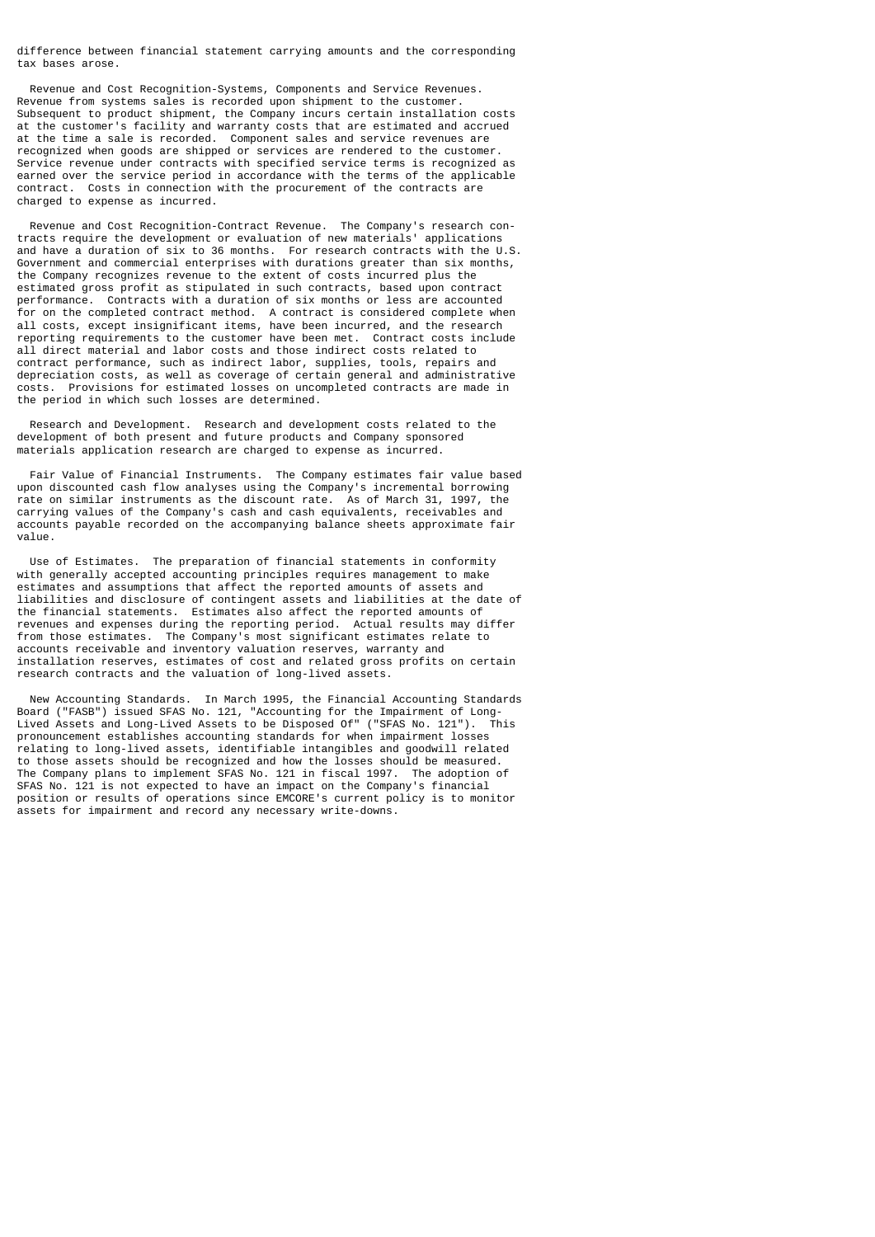difference between financial statement carrying amounts and the corresponding tax bases arose.

 Revenue and Cost Recognition-Systems, Components and Service Revenues. Revenue from systems sales is recorded upon shipment to the customer. Subsequent to product shipment, the Company incurs certain installation costs at the customer's facility and warranty costs that are estimated and accrued at the time a sale is recorded. Component sales and service revenues are recognized when goods are shipped or services are rendered to the customer. Service revenue under contracts with specified service terms is recognized as earned over the service period in accordance with the terms of the applicable contract. Costs in connection with the procurement of the contracts are charged to expense as incurred.

 Revenue and Cost Recognition-Contract Revenue. The Company's research contracts require the development or evaluation of new materials' applications and have a duration of six to 36 months. For research contracts with the U.S. Government and commercial enterprises with durations greater than six months, the Company recognizes revenue to the extent of costs incurred plus the estimated gross profit as stipulated in such contracts, based upon contract performance. Contracts with a duration of six months or less are accounted for on the completed contract method. A contract is considered complete when all costs, except insignificant items, have been incurred, and the research reporting requirements to the customer have been met. Contract costs include all direct material and labor costs and those indirect costs related to contract performance, such as indirect labor, supplies, tools, repairs and depreciation costs, as well as coverage of certain general and administrative costs. Provisions for estimated losses on uncompleted contracts are made in the period in which such losses are determined.

 Research and Development. Research and development costs related to the development of both present and future products and Company sponsored materials application research are charged to expense as incurred.

 Fair Value of Financial Instruments. The Company estimates fair value based upon discounted cash flow analyses using the Company's incremental borrowing rate on similar instruments as the discount rate. As of March 31, 1997, the carrying values of the Company's cash and cash equivalents, receivables and accounts payable recorded on the accompanying balance sheets approximate fair value.

 Use of Estimates. The preparation of financial statements in conformity with generally accepted accounting principles requires management to make estimates and assumptions that affect the reported amounts of assets and liabilities and disclosure of contingent assets and liabilities at the date of the financial statements. Estimates also affect the reported amounts of revenues and expenses during the reporting period. Actual results may differ from those estimates. The Company's most significant estimates relate to accounts receivable and inventory valuation reserves, warranty and installation reserves, estimates of cost and related gross profits on certain research contracts and the valuation of long-lived assets.

 New Accounting Standards. In March 1995, the Financial Accounting Standards Board ("FASB") issued SFAS No. 121, "Accounting for the Impairment of Long-Lived Assets and Long-Lived Assets to be Disposed Of" ("SFAS No. 121"). This pronouncement establishes accounting standards for when impairment losses relating to long-lived assets, identifiable intangibles and goodwill related to those assets should be recognized and how the losses should be measured. The Company plans to implement SFAS No. 121 in fiscal 1997. The adoption of SFAS No. 121 is not expected to have an impact on the Company's financial position or results of operations since EMCORE's current policy is to monitor assets for impairment and record any necessary write-downs.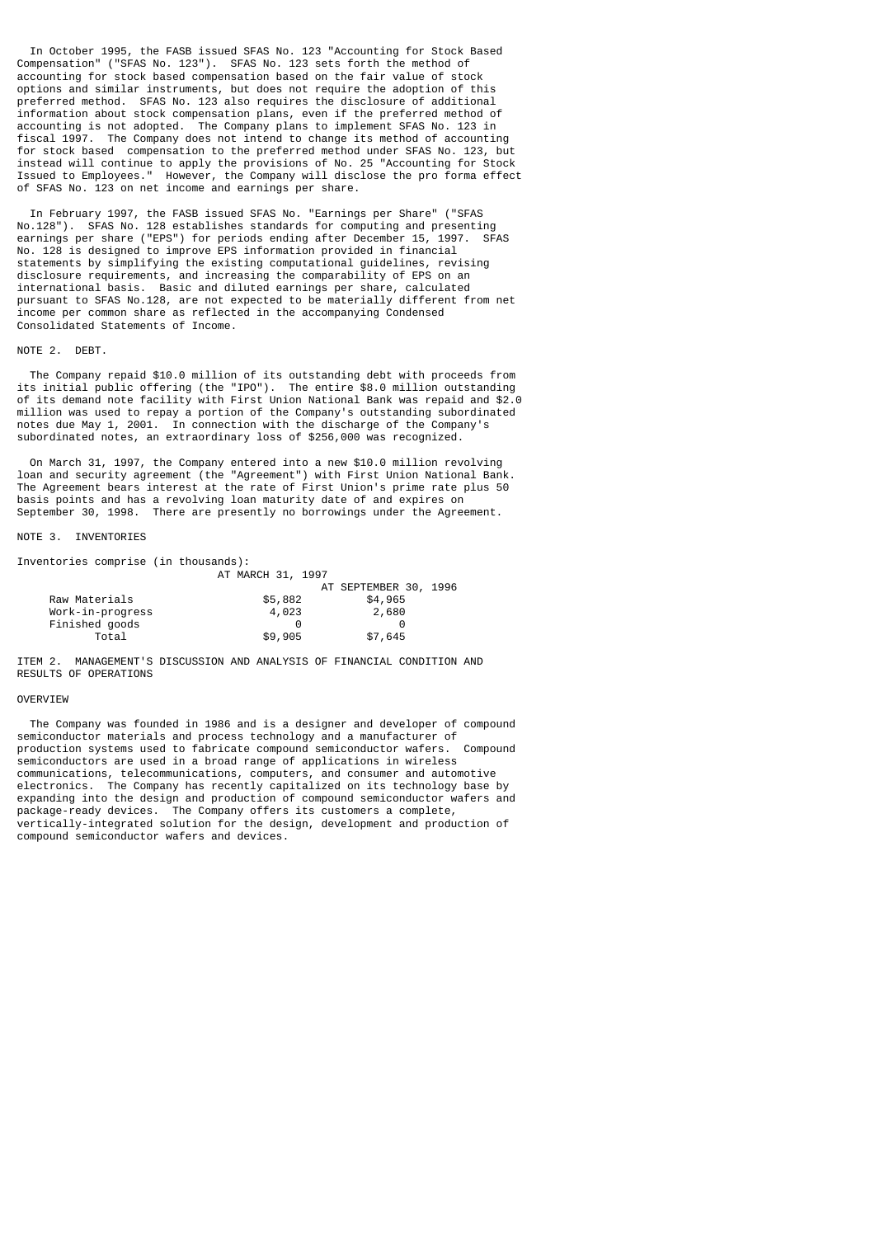In October 1995, the FASB issued SFAS No. 123 "Accounting for Stock Based Compensation" ("SFAS No. 123"). SFAS No. 123 sets forth the method of accounting for stock based compensation based on the fair value of stock options and similar instruments, but does not require the adoption of this preferred method. SFAS No. 123 also requires the disclosure of additional information about stock compensation plans, even if the preferred method of accounting is not adopted. The Company plans to implement SFAS No. 123 in fiscal 1997. The Company does not intend to change its method of accounting for stock based compensation to the preferred method under SFAS No. 123, but instead will continue to apply the provisions of No. 25 "Accounting for Stock Issued to Employees." However, the Company will disclose the pro forma effect of SFAS No. 123 on net income and earnings per share.

 In February 1997, the FASB issued SFAS No. "Earnings per Share" ("SFAS No.128"). SFAS No. 128 establishes standards for computing and presenting earnings per share ("EPS") for periods ending after December 15, 1997. SFAS No. 128 is designed to improve EPS information provided in financial statements by simplifying the existing computational guidelines, revising disclosure requirements, and increasing the comparability of EPS on an international basis. Basic and diluted earnings per share, calculated pursuant to SFAS No.128, are not expected to be materially different from net income per common share as reflected in the accompanying Condensed Consolidated Statements of Income.

#### NOTE 2 DEBT

 The Company repaid \$10.0 million of its outstanding debt with proceeds from its initial public offering (the "IPO"). The entire \$8.0 million outstanding of its demand note facility with First Union National Bank was repaid and \$2.0 million was used to repay a portion of the Company's outstanding subordinated notes due May 1, 2001. In connection with the discharge of the Company's subordinated notes, an extraordinary loss of \$256,000 was recognized.

 On March 31, 1997, the Company entered into a new \$10.0 million revolving loan and security agreement (the "Agreement") with First Union National Bank. The Agreement bears interest at the rate of First Union's prime rate plus 50 basis points and has a revolving loan maturity date of and expires on September 30, 1998. There are presently no borrowings under the Agreement.

## NOTE 3. INVENTORIES

Inventories comprise (in thousands):

|                  | AT MARCH 31, 1997     |                       |  |  |
|------------------|-----------------------|-----------------------|--|--|
|                  |                       | AT SEPTEMBER 30, 1996 |  |  |
| Raw Materials    | \$5,882               | \$4,965               |  |  |
| Work-in-progress | 4,023                 | 2,680                 |  |  |
| Finished goods   | $\boldsymbol{\Theta}$ |                       |  |  |
| Total            | \$9,905               | \$7,645               |  |  |

ITEM 2. MANAGEMENT'S DISCUSSION AND ANALYSIS OF FINANCIAL CONDITION AND RESULTS OF OPERATIONS

## **OVERVIEW**

 The Company was founded in 1986 and is a designer and developer of compound semiconductor materials and process technology and a manufacturer of production systems used to fabricate compound semiconductor wafers. Compound semiconductors are used in a broad range of applications in wireless communications, telecommunications, computers, and consumer and automotive electronics. The Company has recently capitalized on its technology base by expanding into the design and production of compound semiconductor wafers and package-ready devices. The Company offers its customers a complete, vertically-integrated solution for the design, development and production of compound semiconductor wafers and devices.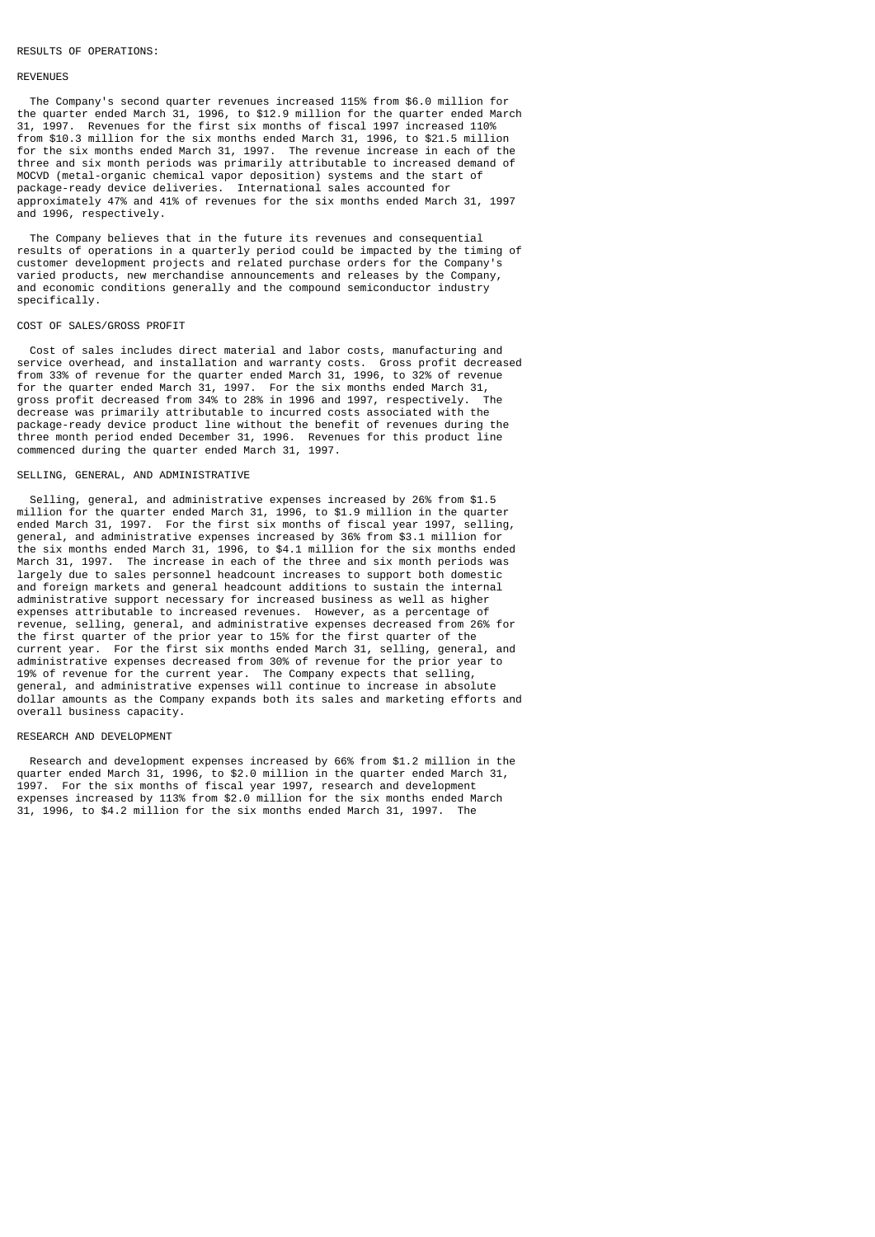#### RESULTS OF OPERATIONS:

#### REVENUES

 The Company's second quarter revenues increased 115% from \$6.0 million for the quarter ended March 31, 1996, to \$12.9 million for the quarter ended March 31, 1997. Revenues for the first six months of fiscal 1997 increased 110% from \$10.3 million for the six months ended March 31, 1996, to \$21.5 million for the six months ended March 31, 1997. The revenue increase in each of the three and six month periods was primarily attributable to increased demand of MOCVD (metal-organic chemical vapor deposition) systems and the start of package-ready device deliveries. International sales accounted for approximately 47% and 41% of revenues for the six months ended March 31, 1997 and 1996, respectively.

 The Company believes that in the future its revenues and consequential results of operations in a quarterly period could be impacted by the timing of customer development projects and related purchase orders for the Company's varied products, new merchandise announcements and releases by the Company, and economic conditions generally and the compound semiconductor industry specifically.

#### COST OF SALES/GROSS PROFIT

 Cost of sales includes direct material and labor costs, manufacturing and service overhead, and installation and warranty costs. Gross profit decreased from 33% of revenue for the quarter ended March 31, 1996, to 32% of revenue for the quarter ended March 31, 1997. For the six months ended March 31, gross profit decreased from 34% to 28% in 1996 and 1997, respectively. decrease was primarily attributable to incurred costs associated with the package-ready device product line without the benefit of revenues during the three month period ended December 31, 1996. Revenues for this product line commenced during the quarter ended March 31, 1997.

# SELLING, GENERAL, AND ADMINISTRATIVE

 Selling, general, and administrative expenses increased by 26% from \$1.5 million for the quarter ended March 31, 1996, to \$1.9 million in the quarter ended March 31, 1997. For the first six months of fiscal year 1997, selling, general, and administrative expenses increased by 36% from \$3.1 million for the six months ended March 31, 1996, to \$4.1 million for the six months ended March 31, 1997. The increase in each of the three and six month periods was largely due to sales personnel headcount increases to support both domestic and foreign markets and general headcount additions to sustain the internal administrative support necessary for increased business as well as higher expenses attributable to increased revenues. However, as a percentage of revenue, selling, general, and administrative expenses decreased from 26% for the first quarter of the prior year to 15% for the first quarter of the current year. For the first six months ended March 31, selling, general, and administrative expenses decreased from 30% of revenue for the prior year to 19% of revenue for the current year. The Company expects that selling, general, and administrative expenses will continue to increase in absolute dollar amounts as the Company expands both its sales and marketing efforts and overall business capacity.

#### RESEARCH AND DEVELOPMENT

 Research and development expenses increased by 66% from \$1.2 million in the quarter ended March 31, 1996, to \$2.0 million in the quarter ended March 31, 1997. For the six months of fiscal year 1997, research and development expenses increased by 113% from \$2.0 million for the six months ended March 31, 1996, to \$4.2 million for the six months ended March 31, 1997. The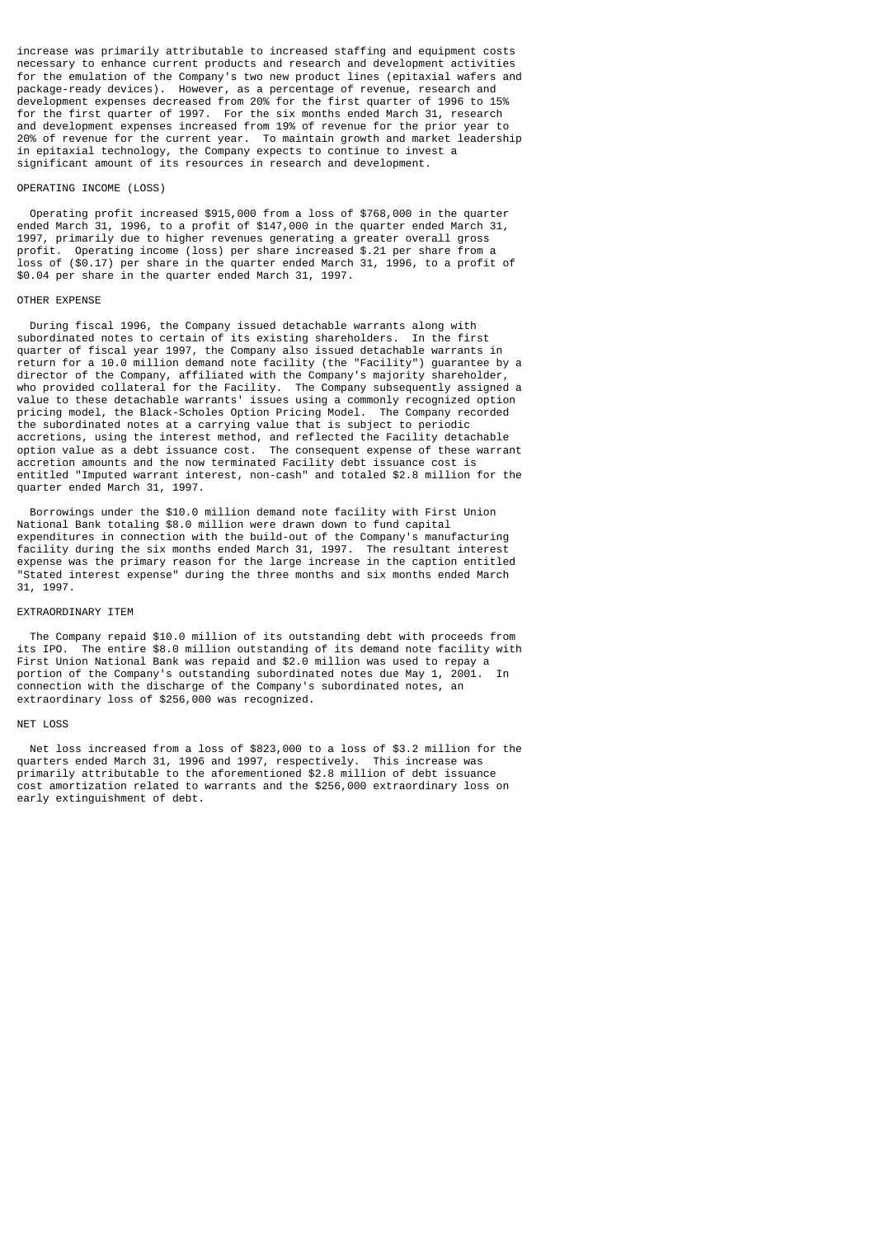increase was primarily attributable to increased staffing and equipment costs necessary to enhance current products and research and development activities for the emulation of the Company's two new product lines (epitaxial wafers and package-ready devices). However, as a percentage of revenue, research and development expenses decreased from 20% for the first quarter of 1996 to 15% for the first quarter of 1997. For the six months ended March 31, research and development expenses increased from 19% of revenue for the prior year to 20% of revenue for the current year. To maintain growth and market leadership in epitaxial technology, the Company expects to continue to invest a significant amount of its resources in research and development.

#### OPERATING INCOME (LOSS)

 Operating profit increased \$915,000 from a loss of \$768,000 in the quarter ended March 31, 1996, to a profit of \$147,000 in the quarter ended March 31, 1997, primarily due to higher revenues generating a greater overall gross profit. Operating income (loss) per share increased \$.21 per share from a loss of (\$0.17) per share in the quarter ended March 31, 1996, to a profit of \$0.04 per share in the quarter ended March 31, 1997.

#### OTHER EXPENSE

 During fiscal 1996, the Company issued detachable warrants along with subordinated notes to certain of its existing shareholders. In the first quarter of fiscal year 1997, the Company also issued detachable warrants in return for a 10.0 million demand note facility (the "Facility") guarantee by a director of the Company, affiliated with the Company's majority shareholder, who provided collateral for the Facility. The Company subsequently assigned a value to these detachable warrants' issues using a commonly recognized option pricing model, the Black-Scholes Option Pricing Model. The Company recorded the subordinated notes at a carrying value that is subject to periodic accretions, using the interest method, and reflected the Facility detachable option value as a debt issuance cost. The consequent expense of these warrant accretion amounts and the now terminated Facility debt issuance cost is entitled "Imputed warrant interest, non-cash" and totaled \$2.8 million for the quarter ended March 31, 1997.

 Borrowings under the \$10.0 million demand note facility with First Union National Bank totaling \$8.0 million were drawn down to fund capital expenditures in connection with the build-out of the Company's manufacturing facility during the six months ended March 31, 1997. The resultant interest expense was the primary reason for the large increase in the caption entitled "Stated interest expense" during the three months and six months ended March 31, 1997.

#### EXTRAORDINARY ITEM

 The Company repaid \$10.0 million of its outstanding debt with proceeds from its IPO. The entire \$8.0 million outstanding of its demand note facility with First Union National Bank was repaid and \$2.0 million was used to repay a portion of the Company's outstanding subordinated notes due May 1, 2001. In connection with the discharge of the Company's subordinated notes, an extraordinary loss of \$256,000 was recognized.

#### NET LOSS

 Net loss increased from a loss of \$823,000 to a loss of \$3.2 million for the quarters ended March 31, 1996 and 1997, respectively. This increase was primarily attributable to the aforementioned \$2.8 million of debt issuance cost amortization related to warrants and the \$256,000 extraordinary loss on early extinguishment of debt.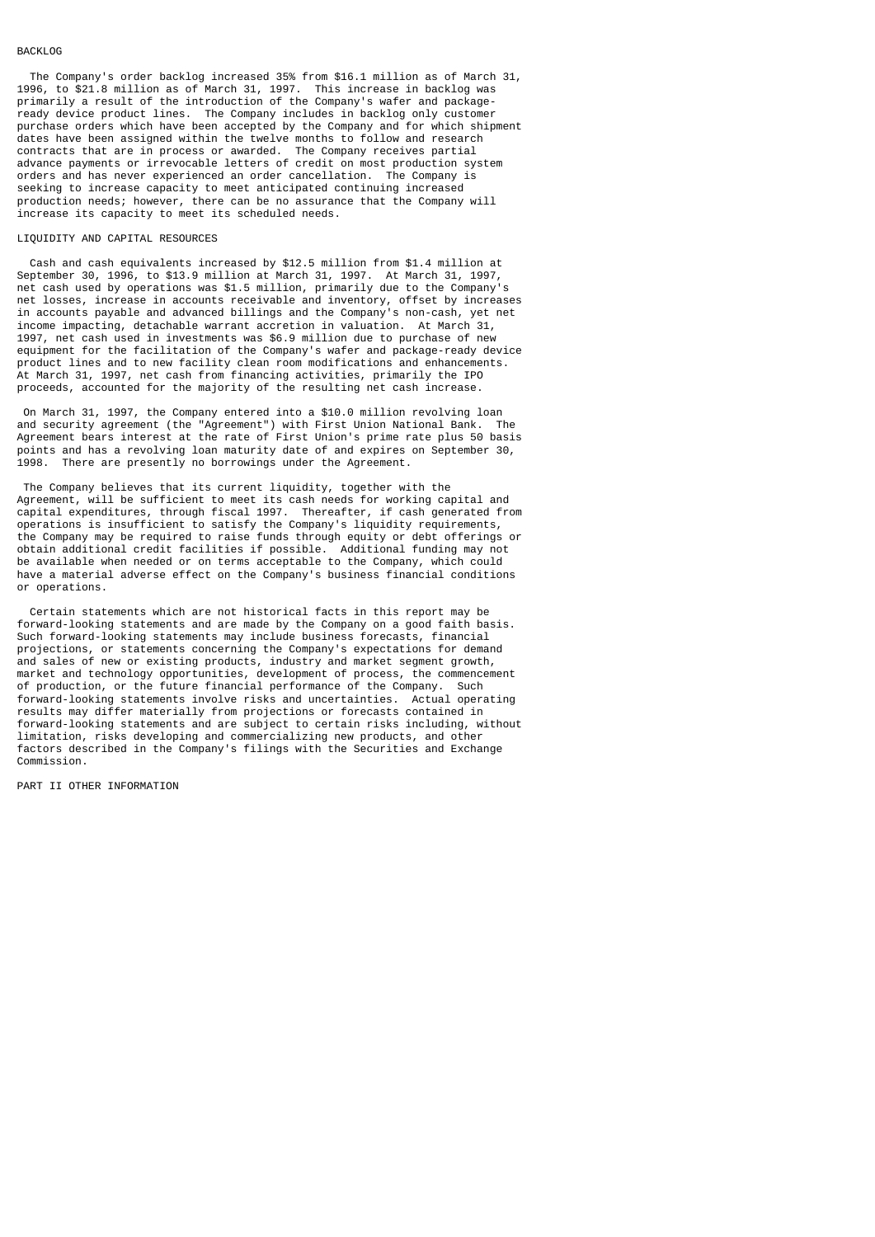#### BACKLOG

 The Company's order backlog increased 35% from \$16.1 million as of March 31, 1996, to \$21.8 million as of March 31, 1997. This increase in backlog was primarily a result of the introduction of the Company's wafer and packageready device product lines. The Company includes in backlog only customer purchase orders which have been accepted by the Company and for which shipment dates have been assigned within the twelve months to follow and research contracts that are in process or awarded. The Company receives partial advance payments or irrevocable letters of credit on most production system orders and has never experienced an order cancellation. The Company is seeking to increase capacity to meet anticipated continuing increased production needs; however, there can be no assurance that the Company will increase its capacity to meet its scheduled needs.

#### LIQUIDITY AND CAPITAL RESOURCES

 Cash and cash equivalents increased by \$12.5 million from \$1.4 million at September 30, 1996, to \$13.9 million at March 31, 1997. At March 31, 1997, net cash used by operations was \$1.5 million, primarily due to the Company's net losses, increase in accounts receivable and inventory, offset by increases in accounts payable and advanced billings and the Company's non-cash, yet net income impacting, detachable warrant accretion in valuation. At March 31, 1997, net cash used in investments was \$6.9 million due to purchase of new equipment for the facilitation of the Company's wafer and package-ready device product lines and to new facility clean room modifications and enhancements. At March 31, 1997, net cash from financing activities, primarily the IPO proceeds, accounted for the majority of the resulting net cash increase.

On March 31, 1997, the Company entered into a \$10.0 million revolving loan<br>And security agreement (the "Agreement") with First Union National Bank. The and security agreement (the "Agreement") with First Union National Bank. Agreement bears interest at the rate of First Union's prime rate plus 50 basis points and has a revolving loan maturity date of and expires on September 30,<br>1998 There are presently no borrowings under the Agreement There are presently no borrowings under the Agreement.

 The Company believes that its current liquidity, together with the Agreement, will be sufficient to meet its cash needs for working capital and capital expenditures, through fiscal 1997. Thereafter, if cash generated from operations is insufficient to satisfy the Company's liquidity requirements, the Company may be required to raise funds through equity or debt offerings or obtain additional credit facilities if possible. Additional funding may not be available when needed or on terms acceptable to the Company, which could have a material adverse effect on the Company's business financial conditions or operations.

 Certain statements which are not historical facts in this report may be forward-looking statements and are made by the Company on a good faith basis. Such forward-looking statements may include business forecasts, financial projections, or statements concerning the Company's expectations for demand and sales of new or existing products, industry and market segment growth, market and technology opportunities, development of process, the commencement of production, or the future financial performance of the Company. Such forward-looking statements involve risks and uncertainties. Actual operating results may differ materially from projections or forecasts contained in forward-looking statements and are subject to certain risks including, without limitation, risks developing and commercializing new products, and other factors described in the Company's filings with the Securities and Exchange Commission.

PART II OTHER INFORMATION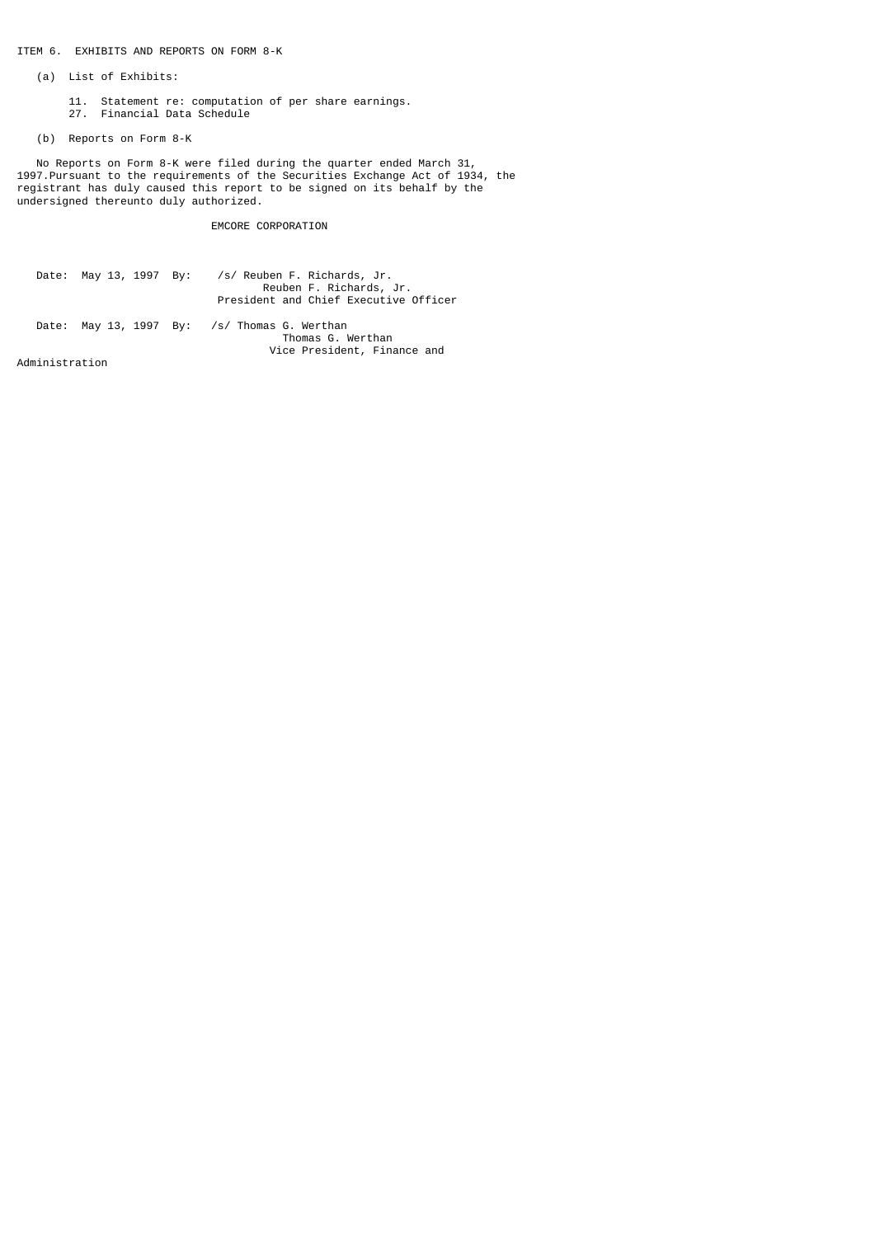# ITEM 6. EXHIBITS AND REPORTS ON FORM 8-K

- (a) List of Exhibits:
- 11. Statement re: computation of per share earnings.
- 27. Financial Data Schedule
	- (b) Reports on Form 8-K

 No Reports on Form 8-K were filed during the quarter ended March 31, 1997.Pursuant to the requirements of the Securities Exchange Act of 1934, the registrant has duly caused this report to be signed on its behalf by the undersigned thereunto duly authorized.

# EMCORE CORPORATION

|  | Date: May 13, 1997 By: /s/ Reuben F. Richards, Jr.<br>Reuben F. Richards, Jr.<br>President and Chief Executive Officer |
|--|------------------------------------------------------------------------------------------------------------------------|
|  | Date: May 13, 1997 By: /s/ Thomas G. Werthan<br>Thomas G. Werthan<br>Vice President, Finance and                       |

Administration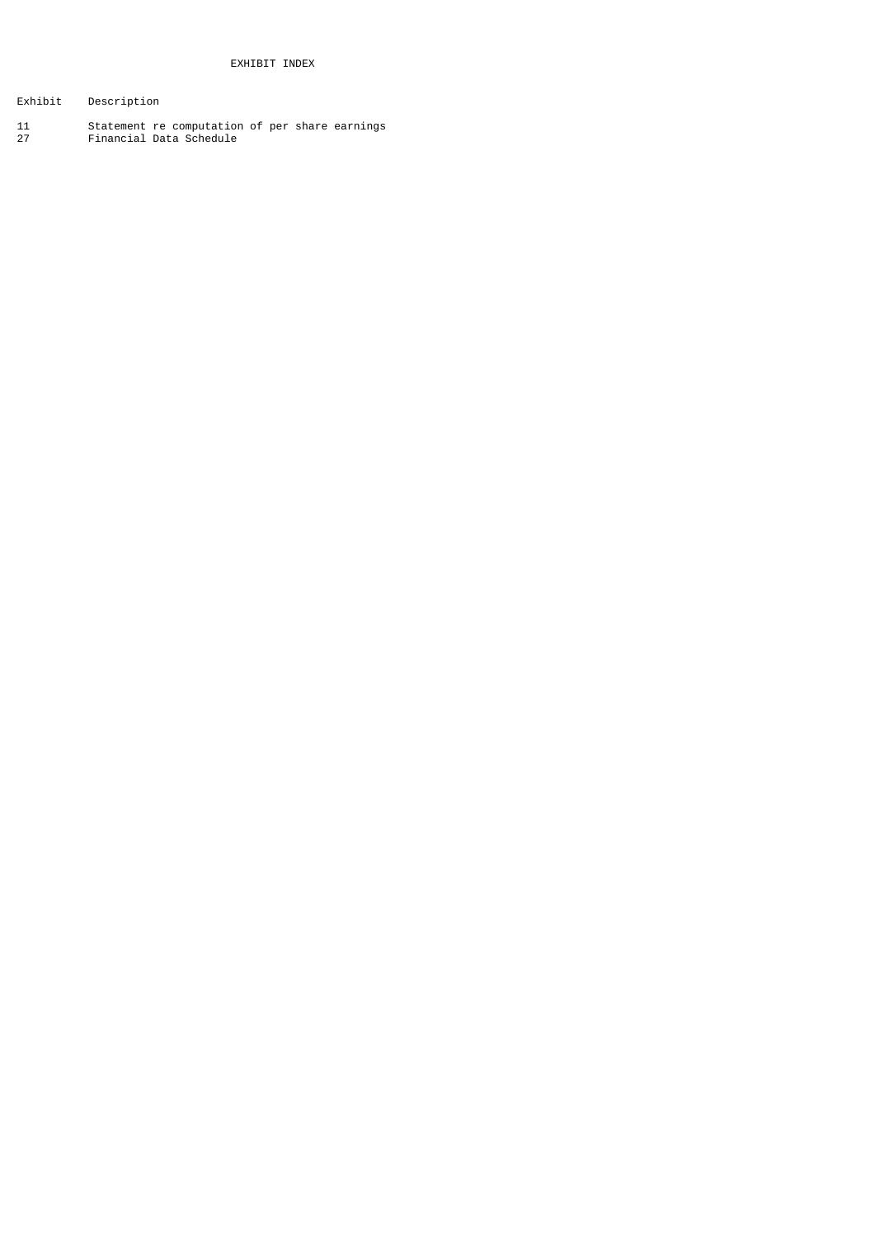- Exhibit Description
- 11 Statement re computation of per share earnings 27 Financial Data Schedule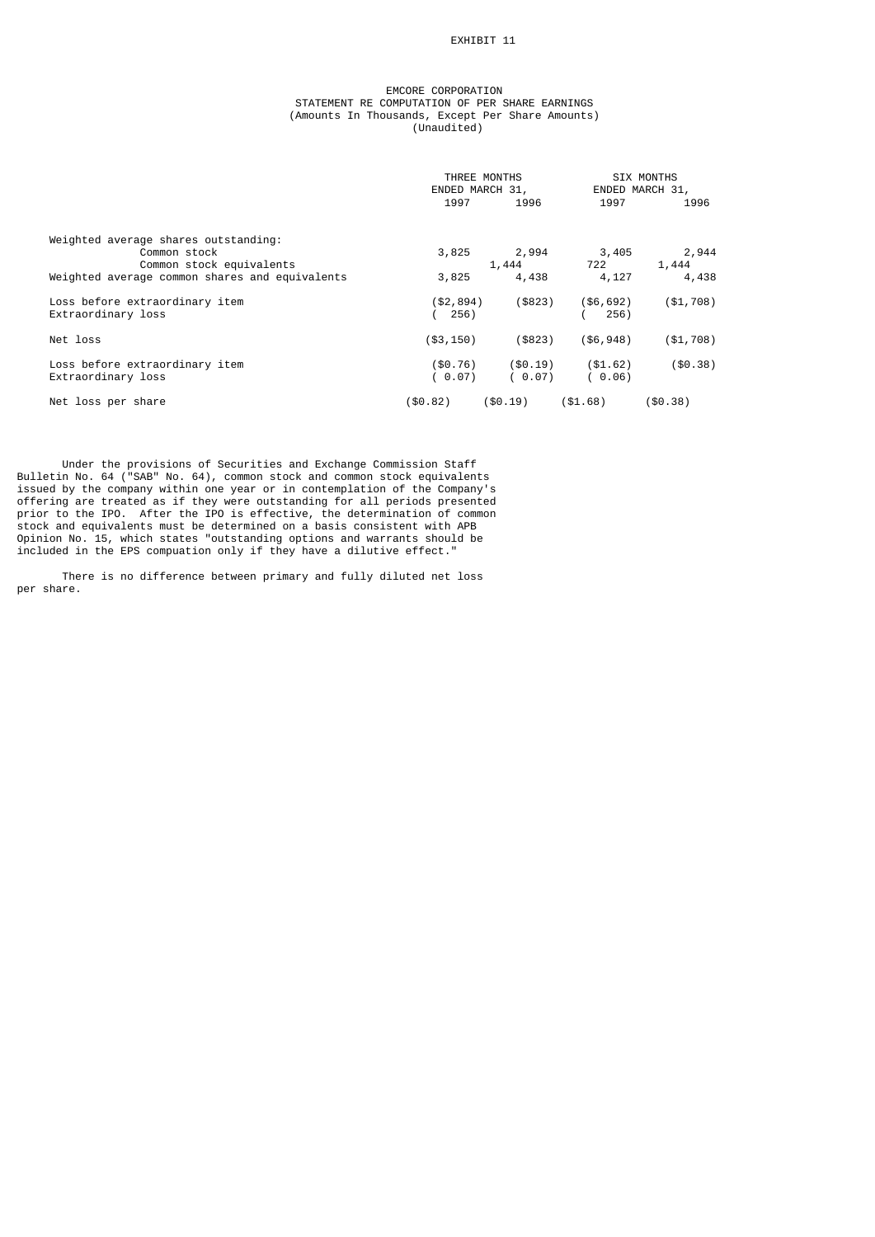# EXHIBIT 11

## EMCORE CORPORATION STATEMENT RE COMPUTATION OF PER SHARE EARNINGS (Amounts In Thousands, Except Per Share Amounts) (Unaudited)

|                                                | THREE MONTHS<br>ENDED MARCH 31, |             | SIX MONTHS<br>ENDED MARCH 31, |            |
|------------------------------------------------|---------------------------------|-------------|-------------------------------|------------|
|                                                | 1997                            | 1996        | 1997                          | 1996       |
| Weighted average shares outstanding:           |                                 |             |                               |            |
| Common stock                                   | 3,825                           | 2,994       | 3,405                         | 2,944      |
| Common stock equivalents                       |                                 | 1,444       | 722                           | 1,444      |
| Weighted average common shares and equivalents | 3,825                           | 4,438       | 4,127                         | 4,438      |
| Loss before extraordinary item                 | (\$2,894)                       | ( \$823)    | $($ \$6,692)                  | ( \$1,708) |
| Extraordinary loss                             | 256)                            |             | 256)                          |            |
| Net loss                                       | ( \$3, 150)                     | ( \$823)    | $($ \$6,948)                  | ( \$1,708) |
| Loss before extraordinary item                 | ( \$0.76)                       | $($ \$0.19) | ( \$1.62)                     | ( \$0.38)  |
| Extraordinary loss                             | ( 0.07)                         | (0.07)      | (0.06)                        |            |
| Net loss per share                             | (\$0.82)                        | ( \$0.19)   | ( \$1.68)                     | ( \$0.38)  |

 Under the provisions of Securities and Exchange Commission Staff Bulletin No. 64 ("SAB" No. 64), common stock and common stock equivalents issued by the company within one year or in contemplation of the Company's offering are treated as if they were outstanding for all periods presented prior to the IPO. After the IPO is effective, the determination of common stock and equivalents must be determined on a basis consistent with APB Opinion No. 15, which states "outstanding options and warrants should be included in the EPS compuation only if they have a dilutive effect."

 There is no difference between primary and fully diluted net loss per share.